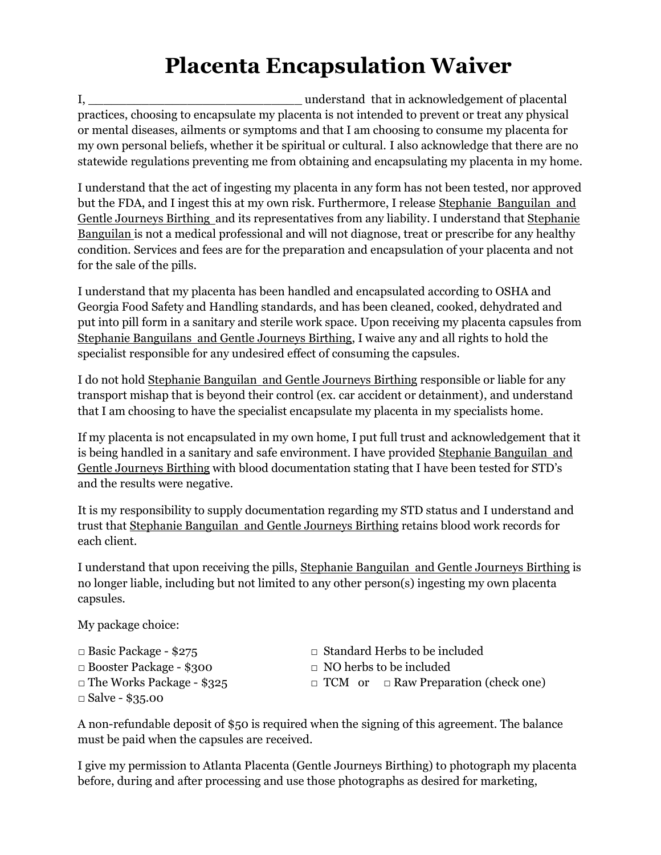## **Placenta Encapsulation Waiver**

I, \_\_\_\_\_\_\_\_\_\_\_\_\_\_\_\_\_\_\_\_\_\_\_\_\_\_\_\_ understand that in acknowledgement of placental practices, choosing to encapsulate my placenta is not intended to prevent or treat any physical or mental diseases, ailments or symptoms and that I am choosing to consume my placenta for my own personal beliefs, whether it be spiritual or cultural. I also acknowledge that there are no statewide regulations preventing me from obtaining and encapsulating my placenta in my home.

I understand that the act of ingesting my placenta in any form has not been tested, nor approved but the FDA, and I ingest this at my own risk. Furthermore, I release Stephanie Banguilan and Gentle Journeys Birthing and its representatives from any liability. I understand that Stephanie Banguilan is not a medical professional and will not diagnose, treat or prescribe for any healthy condition. Services and fees are for the preparation and encapsulation of your placenta and not for the sale of the pills.

I understand that my placenta has been handled and encapsulated according to OSHA and Georgia Food Safety and Handling standards, and has been cleaned, cooked, dehydrated and put into pill form in a sanitary and sterile work space. Upon receiving my placenta capsules from Stephanie Banguilans and Gentle Journeys Birthing, I waive any and all rights to hold the specialist responsible for any undesired effect of consuming the capsules.

I do not hold Stephanie Banguilan and Gentle Journeys Birthing responsible or liable for any transport mishap that is beyond their control (ex. car accident or detainment), and understand that I am choosing to have the specialist encapsulate my placenta in my specialists home.

If my placenta is not encapsulated in my own home, I put full trust and acknowledgement that it is being handled in a sanitary and safe environment. I have provided Stephanie Banguilan and Gentle Journeys Birthing with blood documentation stating that I have been tested for STD's and the results were negative.

It is my responsibility to supply documentation regarding my STD status and I understand and trust that Stephanie Banguilan and Gentle Journeys Birthing retains blood work records for each client.

I understand that upon receiving the pills, Stephanie Banguilan and Gentle Journeys Birthing is no longer liable, including but not limited to any other person(s) ingesting my own placenta capsules.

My package choice:

 $\Box$  Basic Package - \$275 □ Booster Package - \$300 □ The Works Package - \$325 □ Salve - \$35.00

- □ Standard Herbs to be included
- $\Box$  NO herbs to be included
- □ TCM or □ Raw Preparation (check one)

A non-refundable deposit of \$50 is required when the signing of this agreement. The balance must be paid when the capsules are received.

I give my permission to Atlanta Placenta (Gentle Journeys Birthing) to photograph my placenta before, during and after processing and use those photographs as desired for marketing,